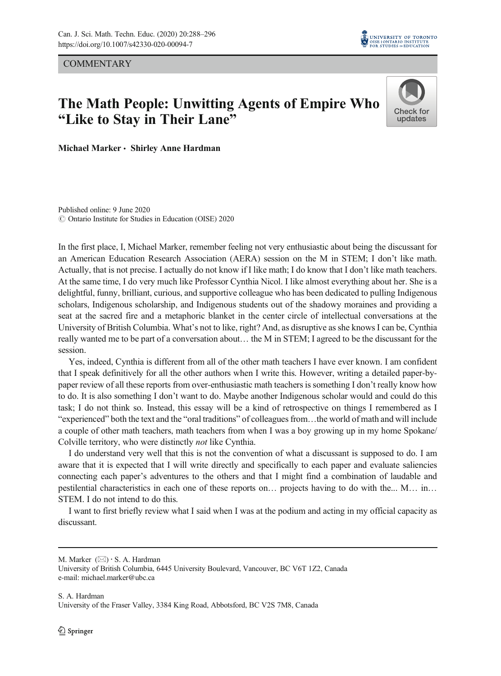**COMMENTARY** 



# The Math People: Unwitting Agents of Empire Who "Like to Stay in Their Lane"



Michael Marker • Shirley Anne Hardman

Published online: 9 June 2020  $\odot$  Ontario Institute for Studies in Education (OISE) 2020

In the first place, I, Michael Marker, remember feeling not very enthusiastic about being the discussant for an American Education Research Association (AERA) session on the M in STEM; I don't like math. Actually, that is not precise. I actually do not know if I like math; I do know that I don't like math teachers. At the same time, I do very much like Professor Cynthia Nicol. I like almost everything about her. She is a delightful, funny, brilliant, curious, and supportive colleague who has been dedicated to pulling Indigenous scholars, Indigenous scholarship, and Indigenous students out of the shadowy moraines and providing a seat at the sacred fire and a metaphoric blanket in the center circle of intellectual conversations at the University of British Columbia. What's not to like, right? And, as disruptive as she knows I can be, Cynthia really wanted me to be part of a conversation about… the M in STEM; I agreed to be the discussant for the session.

Yes, indeed, Cynthia is different from all of the other math teachers I have ever known. I am confident that I speak definitively for all the other authors when I write this. However, writing a detailed paper-bypaper review of all these reports from over-enthusiastic math teachers is something I don't really know how to do. It is also something I don't want to do. Maybe another Indigenous scholar would and could do this task; I do not think so. Instead, this essay will be a kind of retrospective on things I remembered as I "experienced" both the text and the "oral traditions" of colleagues from…the world of math and will include a couple of other math teachers, math teachers from when I was a boy growing up in my home Spokane/ Colville territory, who were distinctly not like Cynthia.

I do understand very well that this is not the convention of what a discussant is supposed to do. I am aware that it is expected that I will write directly and specifically to each paper and evaluate saliencies connecting each paper's adventures to the others and that I might find a combination of laudable and pestilential characteristics in each one of these reports on… projects having to do with the... M… in… STEM. I do not intend to do this.

I want to first briefly review what I said when I was at the podium and acting in my official capacity as discussant.

M. Marker  $(\boxtimes) \cdot S$ . A. Hardman

University of British Columbia, 6445 University Boulevard, Vancouver, BC V6T 1Z2, Canada e-mail: michael.marker@ubc.ca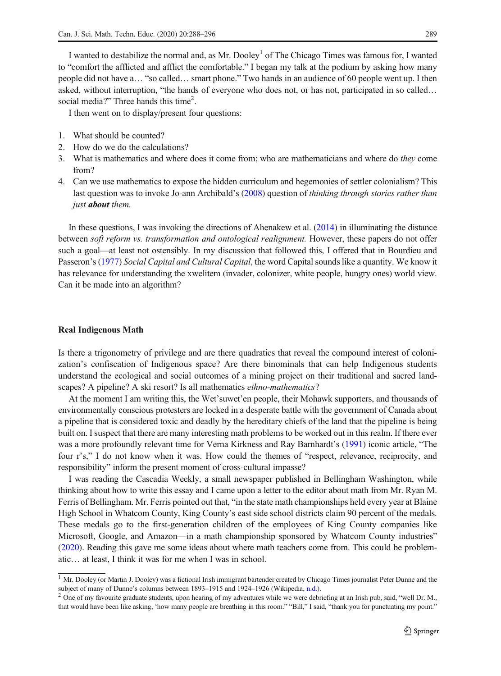I wanted to destabilize the normal and, as Mr. Dooley<sup>1</sup> of The Chicago Times was famous for, I wanted to "comfort the afflicted and afflict the comfortable." I began my talk at the podium by asking how many people did not have a… "so called… smart phone." Two hands in an audience of 60 people went up. I then asked, without interruption, "the hands of everyone who does not, or has not, participated in so called… social media?" Three hands this time<sup>2</sup>.

I then went on to display/present four questions:

- 1. What should be counted?
- 2. How do we do the calculations?
- 3. What is mathematics and where does it come from; who are mathematicians and where do they come from?
- 4. Can we use mathematics to expose the hidden curriculum and hegemonies of settler colonialism? This last question was to invoke Jo-ann Archibald's [\(2008\)](#page-7-0) question of thinking through stories rather than just **about** them.

In these questions, I was invoking the directions of Ahenakew et al. ([2014](#page-7-0)) in illuminating the distance between soft reform vs. transformation and ontological realignment. However, these papers do not offer such a goal—at least not ostensibly. In my discussion that followed this, I offered that in Bourdieu and Passeron's ([1977](#page-7-0)) Social Capital and Cultural Capital, the word Capital sounds like a quantity. We know it has relevance for understanding the xwelitem (invader, colonizer, white people, hungry ones) world view. Can it be made into an algorithm?

## Real Indigenous Math

Is there a trigonometry of privilege and are there quadratics that reveal the compound interest of colonization's confiscation of Indigenous space? Are there binominals that can help Indigenous students understand the ecological and social outcomes of a mining project on their traditional and sacred landscapes? A pipeline? A ski resort? Is all mathematics ethno-mathematics?

At the moment I am writing this, the Wet'suwet'en people, their Mohawk supporters, and thousands of environmentally conscious protesters are locked in a desperate battle with the government of Canada about a pipeline that is considered toxic and deadly by the hereditary chiefs of the land that the pipeline is being built on. I suspect that there are many interesting math problems to be worked out in this realm. If there ever was a more profoundly relevant time for Verna Kirkness and Ray Barnhardt's ([1991](#page-8-0)) iconic article, "The four r's," I do not know when it was. How could the themes of "respect, relevance, reciprocity, and responsibility" inform the present moment of cross-cultural impasse?

I was reading the Cascadia Weekly, a small newspaper published in Bellingham Washington, while thinking about how to write this essay and I came upon a letter to the editor about math from Mr. Ryan M. Ferris of Bellingham. Mr. Ferris pointed out that, "in the state math championships held every year at Blaine High School in Whatcom County, King County's east side school districts claim 90 percent of the medals. These medals go to the first-generation children of the employees of King County companies like Microsoft, Google, and Amazon—in a math championship sponsored by Whatcom County industries" [\(2020\)](#page-7-0). Reading this gave me some ideas about where math teachers come from. This could be problematic… at least, I think it was for me when I was in school.

<sup>&</sup>lt;sup>1</sup> Mr. Dooley (or Martin J. Dooley) was a fictional Irish immigrant bartender created by Chicago Times journalist Peter Dunne and the subject of many of Dunne's columns between 1893–1915 and 1924–1926 (Wikipedia, n.d.).

 $^2$  One of my favourite graduate students, upon hearing of my adventures while we were debriefing at an Irish pub, said, "well Dr. M., that would have been like asking, 'how many people are breathing in this room." "Bill," I said, "thank you for punctuating my point."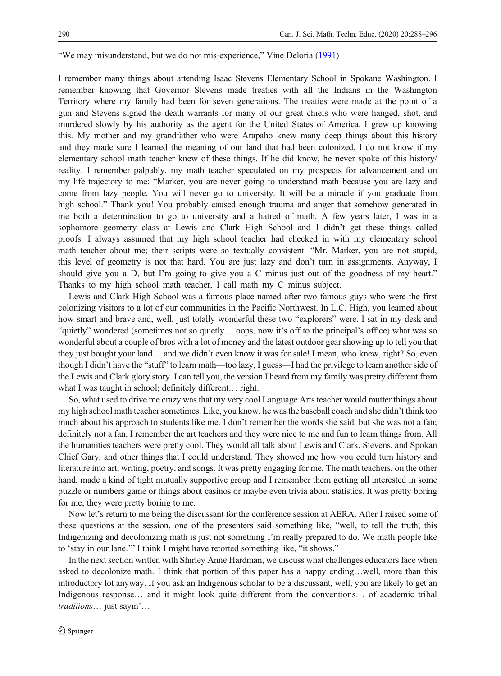"We may misunderstand, but we do not mis-experience," Vine Deloria ([1991](#page-7-0))

I remember many things about attending Isaac Stevens Elementary School in Spokane Washington. I remember knowing that Governor Stevens made treaties with all the Indians in the Washington Territory where my family had been for seven generations. The treaties were made at the point of a gun and Stevens signed the death warrants for many of our great chiefs who were hanged, shot, and murdered slowly by his authority as the agent for the United States of America. I grew up knowing this. My mother and my grandfather who were Arapaho knew many deep things about this history and they made sure I learned the meaning of our land that had been colonized. I do not know if my elementary school math teacher knew of these things. If he did know, he never spoke of this history/ reality. I remember palpably, my math teacher speculated on my prospects for advancement and on my life trajectory to me: "Marker, you are never going to understand math because you are lazy and come from lazy people. You will never go to university. It will be a miracle if you graduate from high school." Thank you! You probably caused enough trauma and anger that somehow generated in me both a determination to go to university and a hatred of math. A few years later, I was in a sophomore geometry class at Lewis and Clark High School and I didn't get these things called proofs. I always assumed that my high school teacher had checked in with my elementary school math teacher about me; their scripts were so textually consistent. "Mr. Marker, you are not stupid, this level of geometry is not that hard. You are just lazy and don't turn in assignments. Anyway, I should give you a D, but I'm going to give you a C minus just out of the goodness of my heart." Thanks to my high school math teacher, I call math my C minus subject.

Lewis and Clark High School was a famous place named after two famous guys who were the first colonizing visitors to a lot of our communities in the Pacific Northwest. In L.C. High, you learned about how smart and brave and, well, just totally wonderful these two "explorers" were. I sat in my desk and "quietly" wondered (sometimes not so quietly… oops, now it's off to the principal's office) what was so wonderful about a couple of bros with a lot of money and the latest outdoor gear showing up to tell you that they just bought your land… and we didn't even know it was for sale! I mean, who knew, right? So, even though I didn't have the "stuff" to learn math—too lazy, I guess—I had the privilege to learn another side of the Lewis and Clark glory story. I can tell you, the version I heard from my family was pretty different from what I was taught in school; definitely different... right.

So, what used to drive me crazy was that my very cool Language Arts teacher would mutter things about my high school math teacher sometimes. Like, you know, he was the baseball coach and she didn't think too much about his approach to students like me. I don't remember the words she said, but she was not a fan; definitely not a fan. I remember the art teachers and they were nice to me and fun to learn things from. All the humanities teachers were pretty cool. They would all talk about Lewis and Clark, Stevens, and Spokan Chief Gary, and other things that I could understand. They showed me how you could turn history and literature into art, writing, poetry, and songs. It was pretty engaging for me. The math teachers, on the other hand, made a kind of tight mutually supportive group and I remember them getting all interested in some puzzle or numbers game or things about casinos or maybe even trivia about statistics. It was pretty boring for me; they were pretty boring to me.

Now let's return to me being the discussant for the conference session at AERA. After I raised some of these questions at the session, one of the presenters said something like, "well, to tell the truth, this Indigenizing and decolonizing math is just not something I'm really prepared to do. We math people like to 'stay in our lane.'" I think I might have retorted something like, "it shows."

In the next section written with Shirley Anne Hardman, we discuss what challenges educators face when asked to decolonize math. I think that portion of this paper has a happy ending…well, more than this introductory lot anyway. If you ask an Indigenous scholar to be a discussant, well, you are likely to get an Indigenous response… and it might look quite different from the conventions… of academic tribal traditions… just sayin'…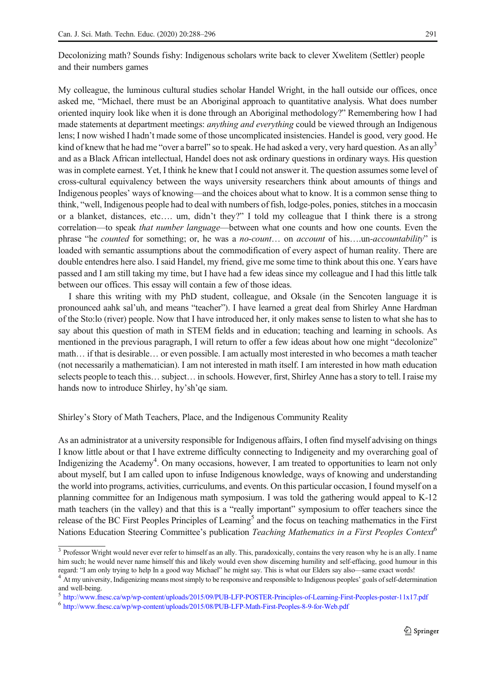Decolonizing math? Sounds fishy: Indigenous scholars write back to clever Xwelitem (Settler) people and their numbers games

My colleague, the luminous cultural studies scholar Handel Wright, in the hall outside our offices, once asked me, "Michael, there must be an Aboriginal approach to quantitative analysis. What does number oriented inquiry look like when it is done through an Aboriginal methodology?" Remembering how I had made statements at department meetings: *anything and everything* could be viewed through an Indigenous lens; I now wished I hadn't made some of those uncomplicated insistencies. Handel is good, very good. He kind of knew that he had me "over a barrel" so to speak. He had asked a very, very hard question. As an ally<sup>3</sup> and as a Black African intellectual, Handel does not ask ordinary questions in ordinary ways. His question was in complete earnest. Yet, I think he knew that I could not answer it. The question assumes some level of cross-cultural equivalency between the ways university researchers think about amounts of things and Indigenous peoples' ways of knowing—and the choices about what to know. It is a common sense thing to think, "well, Indigenous people had to deal with numbers of fish, lodge-poles, ponies, stitches in a moccasin or a blanket, distances, etc…. um, didn't they?" I told my colleague that I think there is a strong correlation—to speak that number language—between what one counts and how one counts. Even the phrase "he counted for something; or, he was a no-count… on account of his….un-accountability" is loaded with semantic assumptions about the commodification of every aspect of human reality. There are double entendres here also. I said Handel, my friend, give me some time to think about this one. Years have passed and I am still taking my time, but I have had a few ideas since my colleague and I had this little talk between our offices. This essay will contain a few of those ideas.

I share this writing with my PhD student, colleague, and Oksale (in the Sencoten language it is pronounced aahk sal'uh, and means "teacher"). I have learned a great deal from Shirley Anne Hardman of the Sto:lo (river) people. Now that I have introduced her, it only makes sense to listen to what she has to say about this question of math in STEM fields and in education; teaching and learning in schools. As mentioned in the previous paragraph, I will return to offer a few ideas about how one might "decolonize" math… if that is desirable… or even possible. I am actually most interested in who becomes a math teacher (not necessarily a mathematician). I am not interested in math itself. I am interested in how math education selects people to teach this... subject... in schools. However, first, Shirley Anne has a story to tell. I raise my hands now to introduce Shirley, hy'sh'qe siam.

Shirley's Story of Math Teachers, Place, and the Indigenous Community Reality

As an administrator at a university responsible for Indigenous affairs, I often find myself advising on things I know little about or that I have extreme difficulty connecting to Indigeneity and my overarching goal of Indigenizing the Academy<sup>4</sup>. On many occasions, however, I am treated to opportunities to learn not only about myself, but I am called upon to infuse Indigenous knowledge, ways of knowing and understanding the world into programs, activities, curriculums, and events. On this particular occasion, I found myself on a planning committee for an Indigenous math symposium. I was told the gathering would appeal to K-12 math teachers (in the valley) and that this is a "really important" symposium to offer teachers since the release of the BC First Peoples Principles of Learning<sup>5</sup> and the focus on teaching mathematics in the First Nations Education Steering Committee's publication *Teaching Mathematics in a First Peoples Context*<sup>6</sup>

 $3$  Professor Wright would never ever refer to himself as an ally. This, paradoxically, contains the very reason why he is an ally. I name him such; he would never name himself this and likely would even show discerning humility and self-effacing, good humour in this regard: "I am only trying to help In a good way Michael" he might say. This is what our Elder

<sup>&</sup>lt;sup>4</sup> At my university, Indigenizing means most simply to be responsive and responsible to Indigenous peoples' goals of self-determination and well-being.

<sup>5</sup> <http://www.fnesc.ca/wp/wp-content/uploads/2015/09/PUB-LFP-POSTER-Principles-of-Learning-First-Peoples-poster-11x17.pdf>

<sup>6</sup> <http://www.fnesc.ca/wp/wp-content/uploads/2015/08/PUB-LFP-Math-First-Peoples-8-9-for-Web.pdf>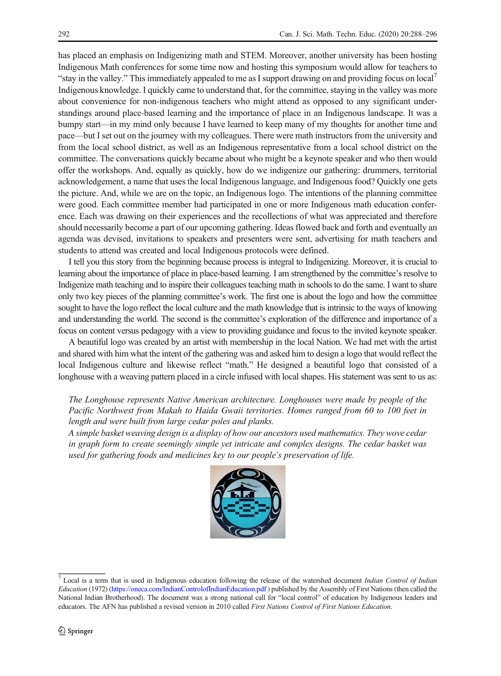has placed an emphasis on Indigenizing math and STEM. Moreover, another university has been hosting Indigenous Math conferences for some time now and hosting this symposium would allow for teachers to "stay in the valley." This immediately appealed to me as I support drawing on and providing focus on local7 Indigenous knowledge. I quickly came to understand that, for the committee, staying in the valley was more about convenience for non-indigenous teachers who might attend as opposed to any significant understandings around place-based learning and the importance of place in an Indigenous landscape. It was a bumpy start—in my mind only because I have learned to keep many of my thoughts for another time and pace—but I set out on the journey with my colleagues. There were math instructors from the university and from the local school district, as well as an Indigenous representative from a local school district on the committee. The conversations quickly became about who might be a keynote speaker and who then would offer the workshops. And, equally as quickly, how do we indigenize our gathering: drummers, territorial acknowledgement, a name that uses the local Indigenous language, and Indigenous food? Quickly one gets the picture. And, while we are on the topic, an Indigenous logo. The intentions of the planning committee were good. Each committee member had participated in one or more Indigenous math education conference. Each was drawing on their experiences and the recollections of what was appreciated and therefore should necessarily become a part of our upcoming gathering. Ideas flowed back and forth and eventually an agenda was devised, invitations to speakers and presenters were sent, advertising for math teachers and students to attend was created and local Indigenous protocols were defined.

I tell you this story from the beginning because process is integral to Indigenizing. Moreover, it is crucial to learning about the importance of place in place-based learning. I am strengthened by the committee's resolve to Indigenize math teaching and to inspire their colleagues teaching math in schools to do the same. I want to share only two key pieces of the planning committee's work. The first one is about the logo and how the committee sought to have the logo reflect the local culture and the math knowledge that is intrinsic to the ways of knowing and understanding the world. The second is the committee's exploration of the difference and importance of a focus on content versus pedagogy with a view to providing guidance and focus to the invited keynote speaker.

A beautiful logo was created by an artist with membership in the local Nation. We had met with the artist and shared with him what the intent of the gathering was and asked him to design a logo that would reflect the local Indigenous culture and likewise reflect "math." He designed a beautiful logo that consisted of a longhouse with a weaving pattern placed in a circle infused with local shapes. His statement was sent to us as:

The Longhouse represents Native American architecture. Longhouses were made by people of the Pacific Northwest from Makah to Haida Gwaii territories. Homes ranged from 60 to 100 feet in length and were built from large cedar poles and planks.

A simple basket weaving design is a display of how our ancestors used mathematics. They wove cedar in graph form to create seemingly simple yet intricate and complex designs. The cedar basket was used for gathering foods and medicines key to our people's preservation of life.



 $7$  Local is a term that is used in Indigenous education following the release of the watershed document Indian Control of Indian Education (1972) [\(https://oneca.com/IndianControlofIndianEducation.pdf](https://oneca.com/IndianControlofIndianEducation.pdf) ) published by the Assembly of First Nations (then called the National Indian Brotherhood). The document was a strong national call for "local control" of education by Indigenous leaders and educators. The AFN has published a revised version in 2010 called First Nations Control of First Nations Education.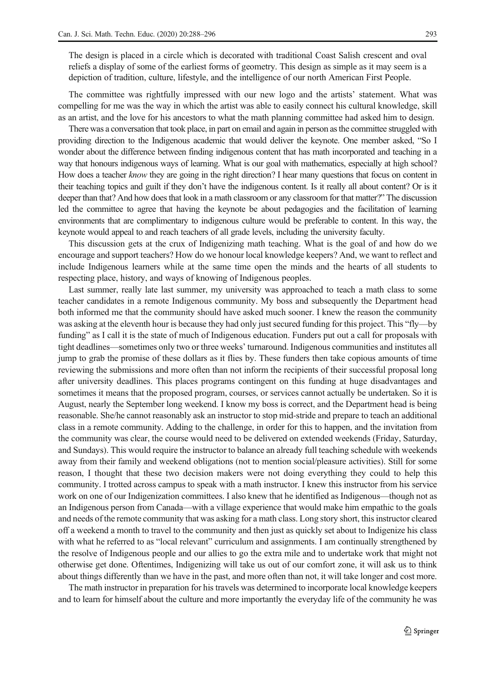The design is placed in a circle which is decorated with traditional Coast Salish crescent and oval reliefs a display of some of the earliest forms of geometry. This design as simple as it may seem is a depiction of tradition, culture, lifestyle, and the intelligence of our north American First People.

The committee was rightfully impressed with our new logo and the artists' statement. What was compelling for me was the way in which the artist was able to easily connect his cultural knowledge, skill as an artist, and the love for his ancestors to what the math planning committee had asked him to design.

There was a conversation that took place, in part on email and again in person as the committee struggled with providing direction to the Indigenous academic that would deliver the keynote. One member asked, "So I wonder about the difference between finding indigenous content that has math incorporated and teaching in a way that honours indigenous ways of learning. What is our goal with mathematics, especially at high school? How does a teacher know they are going in the right direction? I hear many questions that focus on content in their teaching topics and guilt if they don't have the indigenous content. Is it really all about content? Or is it deeper than that? And how does that look in a math classroom or any classroom for that matter?" The discussion led the committee to agree that having the keynote be about pedagogies and the facilitation of learning environments that are complimentary to indigenous culture would be preferable to content. In this way, the keynote would appeal to and reach teachers of all grade levels, including the university faculty.

This discussion gets at the crux of Indigenizing math teaching. What is the goal of and how do we encourage and support teachers? How do we honour local knowledge keepers? And, we want to reflect and include Indigenous learners while at the same time open the minds and the hearts of all students to respecting place, history, and ways of knowing of Indigenous peoples.

Last summer, really late last summer, my university was approached to teach a math class to some teacher candidates in a remote Indigenous community. My boss and subsequently the Department head both informed me that the community should have asked much sooner. I knew the reason the community was asking at the eleventh hour is because they had only just secured funding for this project. This "fly—by funding" as I call it is the state of much of Indigenous education. Funders put out a call for proposals with tight deadlines—sometimes only two or three weeks' turnaround. Indigenous communities and institutes all jump to grab the promise of these dollars as it flies by. These funders then take copious amounts of time reviewing the submissions and more often than not inform the recipients of their successful proposal long after university deadlines. This places programs contingent on this funding at huge disadvantages and sometimes it means that the proposed program, courses, or services cannot actually be undertaken. So it is August, nearly the September long weekend. I know my boss is correct, and the Department head is being reasonable. She/he cannot reasonably ask an instructor to stop mid-stride and prepare to teach an additional class in a remote community. Adding to the challenge, in order for this to happen, and the invitation from the community was clear, the course would need to be delivered on extended weekends (Friday, Saturday, and Sundays). This would require the instructor to balance an already full teaching schedule with weekends away from their family and weekend obligations (not to mention social/pleasure activities). Still for some reason, I thought that these two decision makers were not doing everything they could to help this community. I trotted across campus to speak with a math instructor. I knew this instructor from his service work on one of our Indigenization committees. I also knew that he identified as Indigenous—though not as an Indigenous person from Canada—with a village experience that would make him empathic to the goals and needs of the remote community that was asking for a math class. Long story short, this instructor cleared off a weekend a month to travel to the community and then just as quickly set about to Indigenize his class with what he referred to as "local relevant" curriculum and assignments. I am continually strengthened by the resolve of Indigenous people and our allies to go the extra mile and to undertake work that might not otherwise get done. Oftentimes, Indigenizing will take us out of our comfort zone, it will ask us to think about things differently than we have in the past, and more often than not, it will take longer and cost more.

The math instructor in preparation for his travels was determined to incorporate local knowledge keepers and to learn for himself about the culture and more importantly the everyday life of the community he was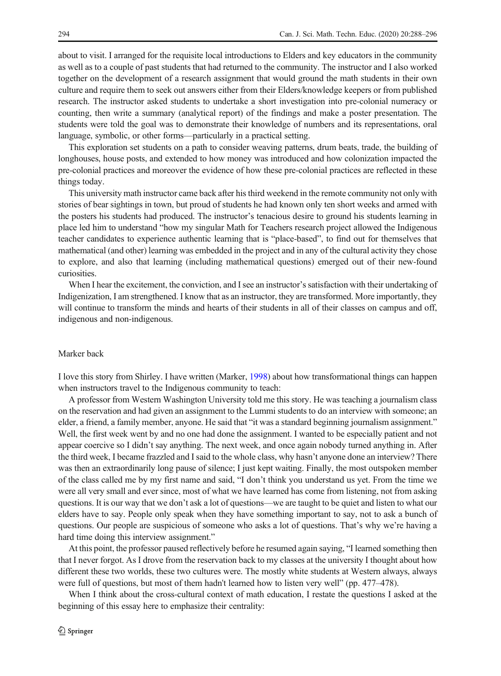about to visit. I arranged for the requisite local introductions to Elders and key educators in the community as well as to a couple of past students that had returned to the community. The instructor and I also worked together on the development of a research assignment that would ground the math students in their own culture and require them to seek out answers either from their Elders/knowledge keepers or from published research. The instructor asked students to undertake a short investigation into pre-colonial numeracy or counting, then write a summary (analytical report) of the findings and make a poster presentation. The students were told the goal was to demonstrate their knowledge of numbers and its representations, oral language, symbolic, or other forms—particularly in a practical setting.

This exploration set students on a path to consider weaving patterns, drum beats, trade, the building of longhouses, house posts, and extended to how money was introduced and how colonization impacted the pre-colonial practices and moreover the evidence of how these pre-colonial practices are reflected in these things today.

This university math instructor came back after his third weekend in the remote community not only with stories of bear sightings in town, but proud of students he had known only ten short weeks and armed with the posters his students had produced. The instructor's tenacious desire to ground his students learning in place led him to understand "how my singular Math for Teachers research project allowed the Indigenous teacher candidates to experience authentic learning that is "place-based", to find out for themselves that mathematical (and other) learning was embedded in the project and in any of the cultural activity they chose to explore, and also that learning (including mathematical questions) emerged out of their new-found curiosities.

When I hear the excitement, the conviction, and I see an instructor's satisfaction with their undertaking of Indigenization, I am strengthened. I know that as an instructor, they are transformed. More importantly, they will continue to transform the minds and hearts of their students in all of their classes on campus and off, indigenous and non-indigenous.

## Marker back

I love this story from Shirley. I have written (Marker, [1998](#page-8-0)) about how transformational things can happen when instructors travel to the Indigenous community to teach:

A professor from Western Washington University told me this story. He was teaching a journalism class on the reservation and had given an assignment to the Lummi students to do an interview with someone; an elder, a friend, a family member, anyone. He said that "it was a standard beginning journalism assignment." Well, the first week went by and no one had done the assignment. I wanted to be especially patient and not appear coercive so I didn't say anything. The next week, and once again nobody turned anything in. After the third week, I became frazzled and I said to the whole class, why hasn't anyone done an interview? There was then an extraordinarily long pause of silence; I just kept waiting. Finally, the most outspoken member of the class called me by my first name and said, "I don't think you understand us yet. From the time we were all very small and ever since, most of what we have learned has come from listening, not from asking questions. It is our way that we don't ask a lot of questions—we are taught to be quiet and listen to what our elders have to say. People only speak when they have something important to say, not to ask a bunch of questions. Our people are suspicious of someone who asks a lot of questions. That's why we're having a hard time doing this interview assignment."

At this point, the professor paused reflectively before he resumed again saying, "I learned something then that I never forgot. As I drove from the reservation back to my classes at the university I thought about how different these two worlds, these two cultures were. The mostly white students at Western always, always were full of questions, but most of them hadn't learned how to listen very well" (pp. 477–478).

When I think about the cross-cultural context of math education, I restate the questions I asked at the beginning of this essay here to emphasize their centrality: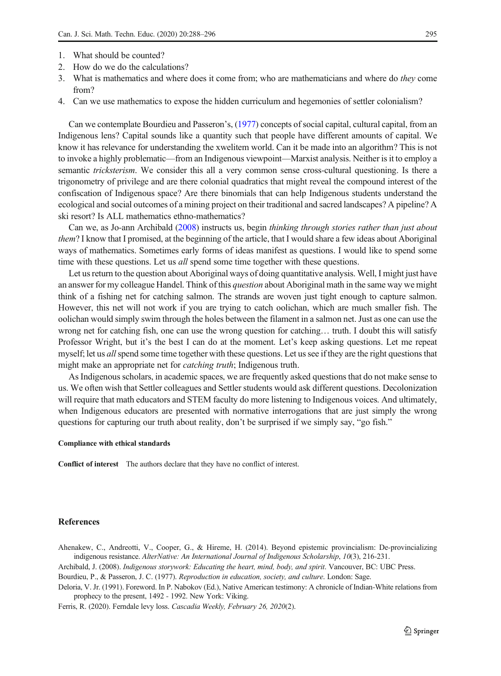- <span id="page-7-0"></span>1. What should be counted?
- 2. How do we do the calculations?
- 3. What is mathematics and where does it come from; who are mathematicians and where do they come from?
- 4. Can we use mathematics to expose the hidden curriculum and hegemonies of settler colonialism?

Can we contemplate Bourdieu and Passeron's, (1977) concepts of social capital, cultural capital, from an Indigenous lens? Capital sounds like a quantity such that people have different amounts of capital. We know it has relevance for understanding the xwelitem world. Can it be made into an algorithm? This is not to invoke a highly problematic—from an Indigenous viewpoint—Marxist analysis. Neither is it to employ a semantic tricksterism. We consider this all a very common sense cross-cultural questioning. Is there a trigonometry of privilege and are there colonial quadratics that might reveal the compound interest of the confiscation of Indigenous space? Are there binomials that can help Indigenous students understand the ecological and social outcomes of a mining project on their traditional and sacred landscapes? A pipeline? A ski resort? Is ALL mathematics ethno-mathematics?

Can we, as Jo-ann Archibald (2008) instructs us, begin thinking through stories rather than just about them? I know that I promised, at the beginning of the article, that I would share a few ideas about Aboriginal ways of mathematics. Sometimes early forms of ideas manifest as questions. I would like to spend some time with these questions. Let us *all* spend some time together with these questions.

Let us return to the question about Aboriginal ways of doing quantitative analysis. Well, I might just have an answer for my colleague Handel. Think of this *question* about Aboriginal math in the same way we might think of a fishing net for catching salmon. The strands are woven just tight enough to capture salmon. However, this net will not work if you are trying to catch oolichan, which are much smaller fish. The oolichan would simply swim through the holes between the filament in a salmon net. Just as one can use the wrong net for catching fish, one can use the wrong question for catching… truth. I doubt this will satisfy Professor Wright, but it's the best I can do at the moment. Let's keep asking questions. Let me repeat myself; let us *all* spend some time together with these questions. Let us see if they are the right questions that might make an appropriate net for catching truth; Indigenous truth.

As Indigenous scholars, in academic spaces, we are frequently asked questions that do not make sense to us. We often wish that Settler colleagues and Settler students would ask different questions. Decolonization will require that math educators and STEM faculty do more listening to Indigenous voices. And ultimately, when Indigenous educators are presented with normative interrogations that are just simply the wrong questions for capturing our truth about reality, don't be surprised if we simply say, "go fish."

## Compliance with ethical standards

Conflict of interest The authors declare that they have no conflict of interest.

#### References

Ahenakew, C., Andreotti, V., Cooper, G., & Hireme, H. (2014). Beyond epistemic provincialism: De-provincializing indigenous resistance. AlterNative: An International Journal of Indigenous Scholarship, 10(3), 216-231.

Archibald, J. (2008). Indigenous storywork: Educating the heart, mind, body, and spirit. Vancouver, BC: UBC Press.

Bourdieu, P., & Passeron, J. C. (1977). Reproduction in education, society, and culture. London: Sage.

Deloria, V. Jr. (1991). Foreword. In P. Nabokov (Ed.), Native American testimony: A chronicle of Indian-White relations from prophecy to the present, 1492 - 1992. New York: Viking.

Ferris, R. (2020). Ferndale levy loss. Cascadia Weekly, February 26, 2020(2).